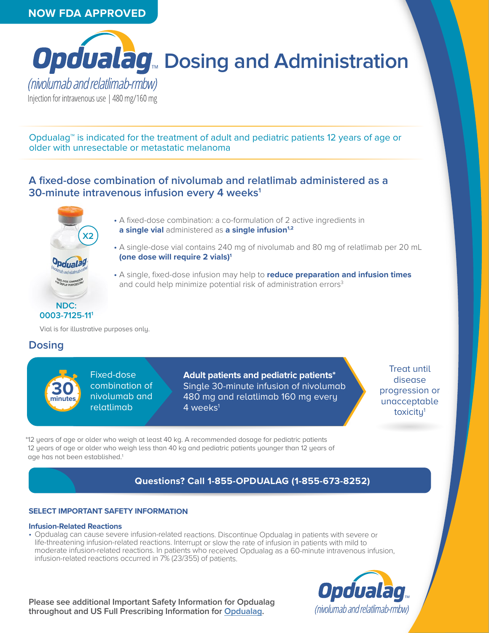# **NOW FDA APPROVED**



Opdualag™ is indicated for the treatment of adult and pediatric patients 12 years of age or older with unresectable or metastatic melanoma

# **A fixed-dose combination of nivolumab and relatlimab administered as a 30-minute intravenous infusion every 4 weeks1**



- A fixed-dose combination: a co-formulation of 2 active ingredients in **a single vial** administered as **a single infusion**<sup>1,2</sup>
- A single-dose vial contains 240 mg of nivolumab and 80 mg of relatlimab per 20 mL **(one dose will require 2 vials)1**
- A single, fixed-dose infusion may help to **reduce preparation and infusion times**  and could help minimize potential risk of administration errors<sup>3</sup>

Vial is for illustrative purposes only.

# **Dosing**



Fixed-dose combination of nivolumab and relatlimab

**Adult patients and pediatric patients\***  Single 30-minute infusion of nivolumab 480 mg and relatlimab 160 mg every 4 weeks $^1$ 

Treat until disease progression or unacceptable toxicity1

\*12 years of age or older who weigh at least 40 kg. A recommended dosage for pediatric patients 12 years of age or older who weigh less than 40 kg and pediatric patients younger than 12 years of age has not been established.<sup>1</sup>

# **Questions? Call 1-855-OPDUALAG (1-855-673-8252)**

## **SELECT IMPORTANT SAFETY INFORMATION**

#### **Infusion-Related Reactions**

• Opdualag can cause severe infusion-related reactions. Discontinue Opdualag in patients with severe or life-threatening infusion-related reactions. Interrupt or slow the rate of infusion in patients with mild to moderate infusion-related reactions. In patients who received Opdualag as a 60-minute intravenous infusion, infusion-related reactions occurred in 7% (23/355) of patients.

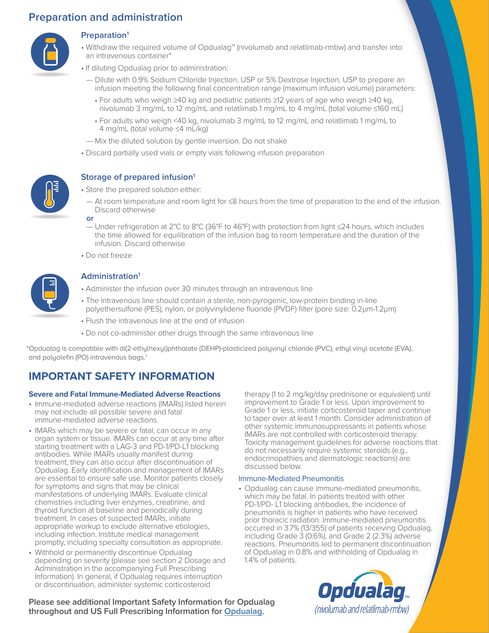# **Preparation and administration**



## **Preparation1**

- Withdraw the required volume of Opdualag™ (nivolumab and relatlimab-rmbw) and transfer into an intravenous container\*
- If diluting Opdualag prior to administration:
	- Dilute with 0.9% Sodium Chloride Injection, USP or 5% Dextrose Injection, USP to prepare an infusion meeting the following final concentration range (maximum infusion volume) parameters:
		- For adults who weigh ≥40 kg and pediatric patients ≥12 years of age who weigh ≥40 kg, nivolumab 3 mg/mL to 12 mg/mL and relatlimab 1 mg/mL to 4 mg/mL (total volume ≤160 mL)
		- For adults who weigh <40 kg, nivolumab 3 mg/mL to 12 mg/mL and relatlimab 1 mg/mL to 4 mg/mL (total volume ≤4 mL/kg)
- Mix the diluted solution by gentle inversion. Do not shake
- Discard partially used vials or empty vials following infusion preparation



## **Storage of prepared infusion1**

- Store the prepared solution either:
	- At room temperature and room light for ≤8 hours from the time of preparation to the end of the infusion. Discard otherwise

**or**

- Under refrigeration at 2°C to 8°C (36°F to 46°F) with protection from light ≤24 hours, which includes the time allowed for equilibration of the infusion bag to room temperature and the duration of the infusion. Discard otherwise
- Do not freeze



## **Administration1**

- Administer the infusion over 30 minutes through an intravenous line
- The intravenous line should contain a sterile, non-pyrogenic, low-protein binding in-line polyethersulfone (PES), nylon, or polyvinylidene fluoride (PVDF) filter (pore size: 0.2μm-1.2μm)
	- Flush the intravenous line at the end of infusion
	- Do not co-administer other drugs through the same intravenous line

\*Opdualag is compatible with di(2-ethylhexyl)phthalate (DEHP)-plasticized polyvinyl chloride (PVC), ethyl vinyl acetate (EVA), and polyolefin (PO) intravenous bags.<sup>1</sup>

# **IMPORTANT SAFETY INFORMATION**

#### **Severe and Fatal Immune-Mediated Adverse Reactions**

- Immune-mediated adverse reactions (IMARs) listed herein may not include all possible severe and fatal immune-mediated adverse reactions.
- IMARs which may be severe or fatal, can occur in any organ system or tissue. IMARs can occur at any time after starting treatment with a LAG-3 and PD-1/PD-L1 blocking antibodies. While IMARs usually manifest during treatment, they can also occur after discontinuation of Opdualag. Early identification and management of IMARs are essential to ensure safe use. Monitor patients closely for symptoms and signs that may be clinical manifestations of underlying IMARs. Evaluate clinical chemistries including liver enzymes, creatinine, and thyroid function at baseline and periodically during treatment. In cases of suspected IMARs, initiate appropriate workup to exclude alternative etiologies, including infection. Institute medical management promptly, including specialty consultation as appropriate.
- Withhold or permanently discontinue Opdualag depending on severity (please see section 2 Dosage and Administration in the accompanying Full Prescribing Information). In general, if Opdualag requires interruption or discontinuation, administer systemic corticosteroid

therapy (1 to 2 mg/kg/day prednisone or equivalent) until improvement to Grade 1 or less. Upon improvement to Grade 1 or less, initiate corticosteroid taper and continue to taper over at least 1 month. Consider administration of other systemic immunosuppressants in patients whose IMARs are not controlled with corticosteroid therapy. Toxicity management guidelines for adverse reactions that do not necessarily require systemic steroids (e.g., endocrinopathies and dermatologic reactions) are discussed below.

#### Immune-Mediated Pneumonitis

• Opdualag can cause immune-mediated pneumonitis, which may be fatal. In patients treated with other PD-1/PD- L1 blocking antibodies, the incidence of pneumonitis is higher in patients who have received prior thoracic radiation. Immune-mediated pneumonitis occurred in 3.7% (13/355) of patients receiving Opdualag, including Grade 3 (0.6%), and Grade 2 (2.3%) adverse reactions. Pneumonitis led to permanent discontinuation of Opdualag in 0.8% and withholding of Opdualag in 1.4% of patients.

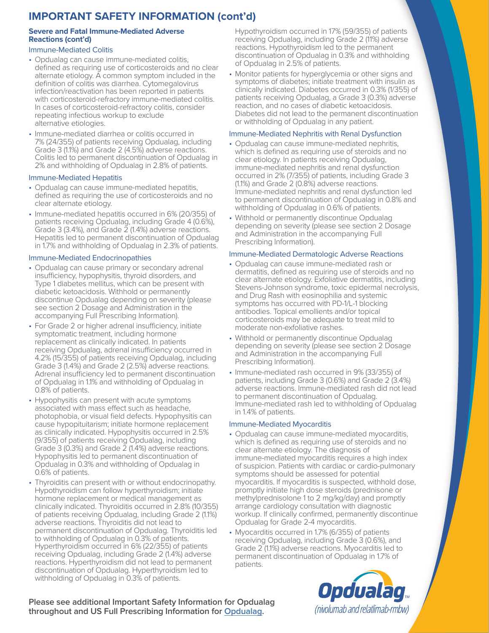# **IMPORTANT SAFETY INFORMATION (cont'd)**

## **Severe and Fatal Immune-Mediated Adverse Reactions (cont'd)**

## Immune-Mediated Colitis

- Opdualag can cause immune-mediated colitis, defined as requiring use of corticosteroids and no clear alternate etiology. A common symptom included in the definition of colitis was diarrhea. Cytomegalovirus infection/reactivation has been reported in patients with corticosteroid-refractory immune-mediated colitis. In cases of corticosteroid-refractory colitis, consider repeating infectious workup to exclude alternative etiologies.
- Immune-mediated diarrhea or colitis occurred in 7% (24/355) of patients receiving Opdualag, including Grade 3 (1.1%) and Grade 2 (4.5%) adverse reactions. Colitis led to permanent discontinuation of Opdualag in 2% and withholding of Opdualag in 2.8% of patients.

## Immune-Mediated Hepatitis

- Opdualag can cause immune-mediated hepatitis, defined as requiring the use of corticosteroids and no clear alternate etiology.
- Immune-mediated hepatitis occurred in 6% (20/355) of patients receiving Opdualag, including Grade 4 (0.6%), Grade 3 (3.4%), and Grade 2 (1.4%) adverse reactions. Hepatitis led to permanent discontinuation of Opdualag in 1.7% and withholding of Opdualag in 2.3% of patients.

## Immune-Mediated Endocrinopathies

- Opdualag can cause primary or secondary adrenal insufficiency, hypophysitis, thyroid disorders, and Type 1 diabetes mellitus, which can be present with diabetic ketoacidosis. Withhold or permanently discontinue Opdualag depending on severity (please see section 2 Dosage and Administration in the accompanying Full Prescribing Information).
- For Grade 2 or higher adrenal insufficiency, initiate symptomatic treatment, including hormone replacement as clinically indicated. In patients receiving Opdualag, adrenal insufficiency occurred in 4.2% (15/355) of patients receiving Opdualag, including Grade 3 (1.4%) and Grade 2 (2.5%) adverse reactions. Adrenal insufficiency led to permanent discontinuation of Opdualag in 1.1% and withholding of Opdualag in 0.8% of patients.
- Hypophysitis can present with acute symptoms associated with mass effect such as headache, photophobia, or visual field defects. Hypophysitis can cause hypopituitarism; initiate hormone replacement as clinically indicated. Hypophysitis occurred in 2.5% (9/355) of patients receiving Opdualag, including Grade 3 (0.3%) and Grade 2 (1.4%) adverse reactions. Hypophysitis led to permanent discontinuation of Opdualag in 0.3% and withholding of Opdualag in 0.6% of patients.
- Thyroiditis can present with or without endocrinopathy. Hypothyroidism can follow hyperthyroidism; initiate hormone replacement or medical management as clinically indicated. Thyroiditis occurred in 2.8% (10/355) of patients receiving Opdualag, including Grade 2 (1.1%) adverse reactions. Thyroiditis did not lead to permanent discontinuation of Opdualag. Thyroiditis led to withholding of Opdualag in 0.3% of patients. Hyperthyroidism occurred in 6% (22/355) of patients receiving Opdualag, including Grade 2 (1.4%) adverse reactions. Hyperthyroidism did not lead to permanent discontinuation of Opdualag. Hyperthyroidism led to withholding of Opdualag in 0.3% of patients.

Hypothyroidism occurred in 17% (59/355) of patients receiving Opdualag, including Grade 2 (11%) adverse reactions. Hypothyroidism led to the permanent discontinuation of Opdualag in 0.3% and withholding of Opdualag in 2.5% of patients.

• Monitor patients for hyperglycemia or other signs and symptoms of diabetes; initiate treatment with insulin as clinically indicated. Diabetes occurred in 0.3% (1/355) of patients receiving Opdualag, a Grade 3 (0.3%) adverse reaction, and no cases of diabetic ketoacidosis. Diabetes did not lead to the permanent discontinuation or withholding of Opdualag in any patient.

## Immune-Mediated Nephritis with Renal Dysfunction

- Opdualag can cause immune-mediated nephritis, which is defined as requiring use of steroids and no clear etiology. In patients receiving Opdualag, immune-mediated nephritis and renal dysfunction occurred in 2% (7/355) of patients, including Grade 3 (1.1%) and Grade 2 (0.8%) adverse reactions. Immune-mediated nephritis and renal dysfunction led to permanent discontinuation of Opdualag in 0.8% and withholding of Opdualag in 0.6% of patients.
- Withhold or permanently discontinue Opdualag depending on severity (please see section 2 Dosage and Administration in the accompanying Full Prescribing Information).

## Immune-Mediated Dermatologic Adverse Reactions

- Opdualag can cause immune-mediated rash or dermatitis, defined as requiring use of steroids and no clear alternate etiology. Exfoliative dermatitis, including Stevens-Johnson syndrome, toxic epidermal necrolysis, and Drug Rash with eosinophilia and systemic symptoms has occurred with PD-1/L-1 blocking antibodies. Topical emollients and/or topical corticosteroids may be adequate to treat mild to moderate non-exfoliative rashes.
- Withhold or permanently discontinue Opdualag depending on severity (please see section 2 Dosage and Administration in the accompanying Full Prescribing Information).
- Immune-mediated rash occurred in 9% (33/355) of patients, including Grade 3 (0.6%) and Grade 2 (3.4%) adverse reactions. Immune-mediated rash did not lead to permanent discontinuation of Opdualag. Immune-mediated rash led to withholding of Opdualag in 1.4% of patients.

## Immune-Mediated Myocarditis

- Opdualag can cause immune-mediated myocarditis, which is defined as requiring use of steroids and no clear alternate etiology. The diagnosis of immune-mediated myocarditis requires a high index of suspicion. Patients with cardiac or cardio-pulmonary symptoms should be assessed for potential myocarditis. If myocarditis is suspected, withhold dose, promptly initiate high dose steroids (prednisone or methylprednisolone 1 to 2 mg/kg/day) and promptly arrange cardiology consultation with diagnostic workup. If clinically confirmed, permanently discontinue Opdualag for Grade 2-4 myocarditis.
- Myocarditis occurred in 1.7% (6/355) of patients receiving Opdualag, including Grade 3 (0.6%), and Grade 2 (1.1%) adverse reactions. Myocarditis led to permanent discontinuation of Opdualag in 1.7% of patients.